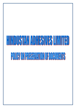# $\left[\left[\right]\right]$ **POLICY ON PRESENTATION OF DOCUMENTS**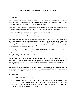# **POLICY ON PRESERVATION OF DOCUMENTS**

### **1. Preamble:**

The Securities and Exchange Board of India (SEBI) has issued the Securities and Exchange Board of India ((Listing Obligations and Disclosure Requirements) Regulations, 2015 ('' SEBI LODR") which have come into force from 1st December 2015.

Regulation 9 of the aforesaid Regulations requires the Board of Directors of the Company to frame a Policy for Preservation of Documents ("Policy") classifying them into two categories:

i. Documents whose preservation shall be permanent in nature; and

ii. Documents to be preserved for not less than eight years.

The documents that are required to be maintained under this Policy are preserved considering their importance, usefulness and information. The Company recognises that all the documents, whether in physical or electronic mode, form an important and integral part of the Company's records. The preservation of documents is important in order to ensure immediate access to the records, its retrieval and authentication.

Accordingly, the Board of Directors of HINDUSTAN ADHESIVES LIMITED "the Company") has adopted the Policy for Preservation of Documents.

### **2. Applicability and Modes of Preservation:**

This Policy is applicable to all documents maintained in physical and electronic mode by the Company. The preservation of documents should be such as to ensure that there is no tampering, alteration, destruction or anything that endangers the content, authenticity, utility or accessibility of the documents.

The documents not specifically covered under this policy shall be preserved and maintained in accordance with the provisions of the respective acts, rules, guidelines and regulations as applicable under which those documents are maintained.

### **3. Definitions:**

a. "Act" means the Companies Act, 2013.

b. "Applicable Law" means any law, rules, circulars, guidelines or regulations issued by the Securities and Exchange Board of India (SEBI), Ministry of Corporate Affairs (MCA) , The Institute of Company Secretaries of India (ICSI) and other professional bodies under which the preservation of documents has been prescribed.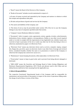c. "Board" means the Board of the Directors of the Company.

d. "Books of Accounts" includes records maintained in respect of –

i. all sums of money received and expended by the Company and matters in relation to which the receipts and expenditure take place

ii. All sales and purchases of goods and services by the Company

iii. The assets and liabilities of the Company; and

iv. The items of cost as may be prescribed under section 148 of the Act in case the Company belongs to any class of companies specified under that section.

e. "Company" means Hindustan Adhesives Limited.

f. "Documents" refers to papers, notes, agreements, notices, agenda, circulars, advertisements, declarations, forms, minutes, registers, correspondences, Challan or any other record required under or in order to comply with the requirements of any Applicable Law, whether issued, sent, received or kept in pursuance of the Act or under any other law for the time being in force or otherwise, maintained on paper or in Electronic Form.

g. "Electronic Form" means any electronic device such as servers, computer, laptop, compact disc, floppy disc, pen drive, space on electronic cloud or any other form of storage and retrieval device, considered feasible, whether the same is in possession or control of the Company or otherwise the Company has control over access to it.

h. "Maintenance" means keeping documents, either physically or in Electronic Form.

i. "Preservation" means to keep in good order and to prevent from being altered, damaged or destroyed.

j. "SEBI LODR" means the Securities and Exchange Board of India (Listing Obligations and Disclosure Requirements) Regulations, 2015. Words and phrases used in this Policy and not defined herein shall derive their meaning from the Applicable Law.

### **4. Roles & Responsibilities:**

The respective Functional/ Departmental heads of the Company shall be responsible for maintenance and preservation of documents in respect of the areas of operations falling under the charge of each of them, in terms of this Policy.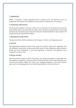### **5. Authenticity:**

Where a document is being maintained both in physical form and Electronic form, the authenticity with reference to the physical form should be considered for every purpose.

### **6. Destruction of Documents:**

The documents specified in Annexe A which are not required to be maintained and preserved permanently, may be destroyed after the expiry of the specified retention period in such mode and under the instructions approved by the Functional/ Departmental Heads. Any deviation will be approved by the Chief Financial Officer.

### **7. Dissemination of the Policy:**

The approved Policy shall be uploaded on the Company's website, www.bagla-group.com.

### **8. General:**

Notwithstanding anything contained in this policy, the Company shall ensure compliance with any additional requirements as may be prescribed under any laws/regulations either existing or arising out of any amendment to such laws/regulations or otherwise and applicable to the Company from time to time.

### **9. Review of Policy:**

This Policy shall be subject to review, if necessary. Any change/amendments in Applicable Laws with regard to maintenance and preservation of documents and records shall be deemed to be covered in this Policy without any review. Any change/amendments to this Policy shall be approved by the Managing Director and Chief Financial Officer or Board of Directors.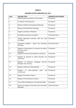### **ANNEX A**

# **RECORDS AS PER COMPANIES ACT, 2013**

| <b>S.NO.</b> | <b>RECORD TYPE</b>                                                              | PRESERVATION PERIOD |
|--------------|---------------------------------------------------------------------------------|---------------------|
| 1.           | Memorandum and Articles of Association                                          | Permanent           |
| 2.           | Certificate of Incorporation                                                    | Permanent           |
| 3.           | Minutes of Board and Committee Meetings                                         | Permanent           |
| 4.           | Minutes of Shareholders' Meetings                                               | Permanent           |
| 5.           | <b>Register and Index of Members</b>                                            | Permanent           |
| 6.           | Resolutions passed by circulation                                               | 8 Financial Years   |
| 7.           | Listing Agreement executed with the stock<br>exchanges                          | Permanent           |
| 8.           | Attendance Register - Board and Committee<br>Meetings                           | 8 Financial Years   |
| 9.           | Register of investments in securities not held in<br>the name of the<br>Company | Permanent           |
| 10.          | Register of renewed and duplicate certificates                                  | Permanent           |
| 11.          | Register of contracts in which Directors are<br>interested                      | Permanent           |
| 12.          | Register of Directors, Managing<br>Director,<br>Manager and Secretary           | Permanent           |
| 13.          | Register of Directors' Shareholding                                             | Permanent           |
| 14.          | Register<br>of<br>loans<br>Inter-corporate<br>and<br>investments                | Permanent           |
| 15.          | Register of transfer of shares                                                  | Permanent           |
| 16.          | Register of Transmission of shares                                              | Permanent           |
| 17.          | Forms filed with Registrar of Companies (ROC)                                   | Permanent           |
| 18.          | Notice and Agenda of the Board and Committee<br>Meetings                        | 8 Financial Years   |